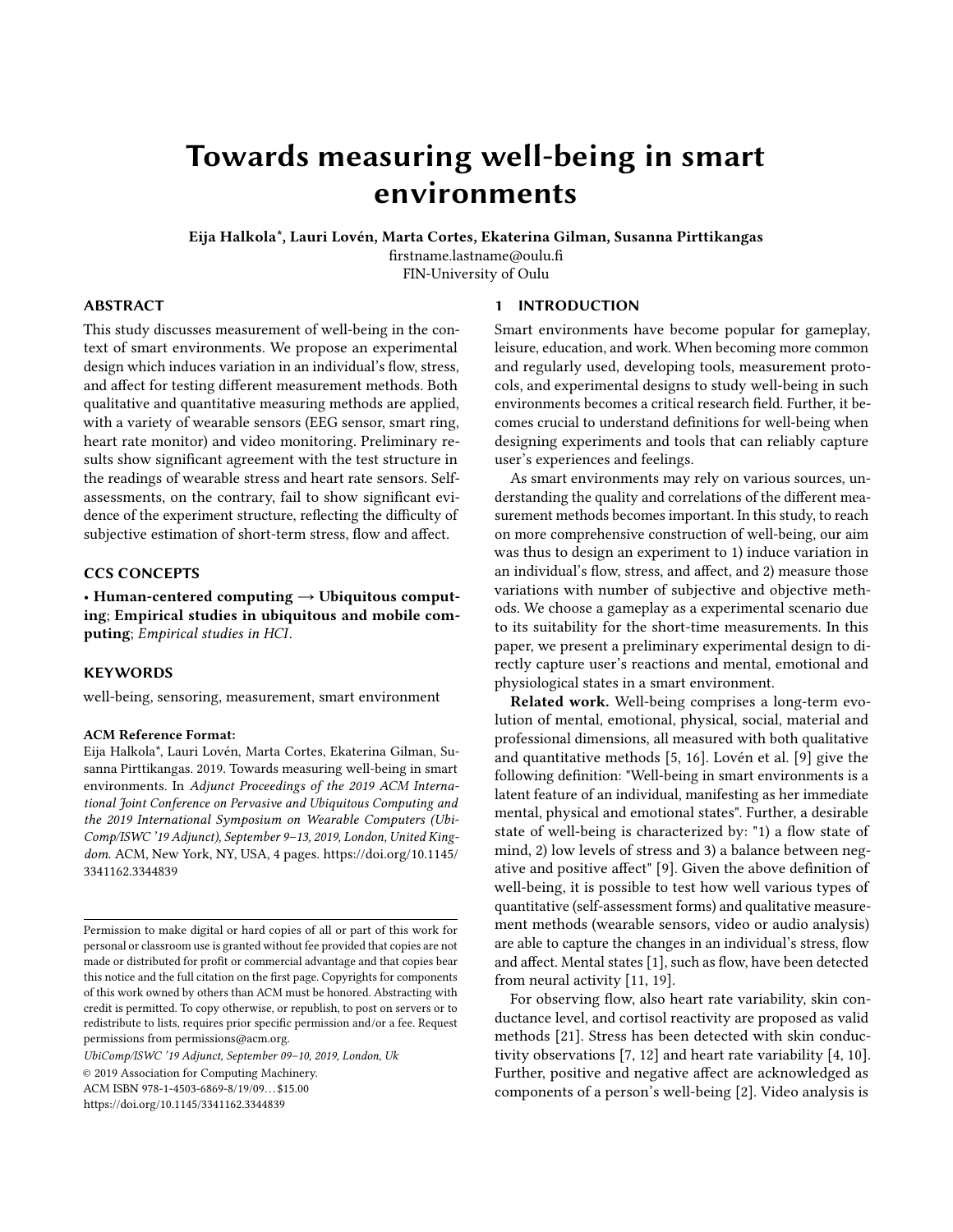# Towards measuring well-being in smart environments

Eija Halkola\*, Lauri Lovén, Marta Cortes, Ekaterina Gilman, Susanna Pirttikangas

firstname.lastname@oulu.fi FIN-University of Oulu

1 INTRODUCTION

# ABSTRACT

This study discusses measurement of well-being in the context of smart environments. We propose an experimental design which induces variation in an individual's flow, stress, and affect for testing different measurement methods. Both qualitative and quantitative measuring methods are applied, with a variety of wearable sensors (EEG sensor, smart ring, heart rate monitor) and video monitoring. Preliminary results show significant agreement with the test structure in the readings of wearable stress and heart rate sensors. Selfassessments, on the contrary, fail to show significant evidence of the experiment structure, reflecting the difficulty of subjective estimation of short-term stress, flow and affect.

# CCS CONCEPTS

• Human-centered computing  $\rightarrow$  Ubiquitous computing; Empirical studies in ubiquitous and mobile computing; Empirical studies in HCI.

#### **KEYWORDS**

well-being, sensoring, measurement, smart environment

#### ACM Reference Format:

Eija Halkola\*, Lauri Lovén, Marta Cortes, Ekaterina Gilman, Susanna Pirttikangas. 2019. Towards measuring well-being in smart environments. In Adjunct Proceedings of the 2019 ACM International Joint Conference on Pervasive and Ubiquitous Computing and the 2019 International Symposium on Wearable Computers (Ubi-Comp/ISWC '19 Adjunct), September 9–13, 2019, London, United Kingdom. ACM, New York, NY, USA, [4](#page-3-0) pages. [https://doi.org/10.1145/](https://doi.org/10.1145/3341162.3344839) [3341162.3344839](https://doi.org/10.1145/3341162.3344839)

UbiComp/ISWC '19 Adjunct, September 09–10, 2019, London, Uk

© 2019 Association for Computing Machinery.

ACM ISBN 978-1-4503-6869-8/19/09... \$15.00

<https://doi.org/10.1145/3341162.3344839>

## Smart environments have become popular for gameplay, leisure, education, and work. When becoming more common and regularly used, developing tools, measurement protocols, and experimental designs to study well-being in such environments becomes a critical research field. Further, it becomes crucial to understand definitions for well-being when designing experiments and tools that can reliably capture user's experiences and feelings.

As smart environments may rely on various sources, understanding the quality and correlations of the different measurement methods becomes important. In this study, to reach on more comprehensive construction of well-being, our aim was thus to design an experiment to 1) induce variation in an individual's flow, stress, and affect, and 2) measure those variations with number of subjective and objective methods. We choose a gameplay as a experimental scenario due to its suitability for the short-time measurements. In this paper, we present a preliminary experimental design to directly capture user's reactions and mental, emotional and physiological states in a smart environment.

Related work. Well-being comprises a long-term evolution of mental, emotional, physical, social, material and professional dimensions, all measured with both qualitative and quantitative methods [\[5,](#page-3-1) [16\]](#page-3-2). Lovén et al. [\[9\]](#page-3-3) give the following definition: "Well-being in smart environments is a latent feature of an individual, manifesting as her immediate mental, physical and emotional states". Further, a desirable state of well-being is characterized by: "1) a flow state of mind, 2) low levels of stress and 3) a balance between negative and positive affect" [\[9\]](#page-3-3). Given the above definition of well-being, it is possible to test how well various types of quantitative (self-assessment forms) and qualitative measurement methods (wearable sensors, video or audio analysis) are able to capture the changes in an individual's stress, flow and affect. Mental states [\[1\]](#page-3-4), such as flow, have been detected from neural activity [\[11,](#page-3-5) [19\]](#page-3-6).

For observing flow, also heart rate variability, skin conductance level, and cortisol reactivity are proposed as valid methods [\[21\]](#page-3-7). Stress has been detected with skin conductivity observations [\[7,](#page-3-8) [12\]](#page-3-9) and heart rate variability [\[4,](#page-3-10) [10\]](#page-3-11). Further, positive and negative affect are acknowledged as components of a person's well-being [\[2\]](#page-3-12). Video analysis is

Permission to make digital or hard copies of all or part of this work for personal or classroom use is granted without fee provided that copies are not made or distributed for profit or commercial advantage and that copies bear this notice and the full citation on the first page. Copyrights for components of this work owned by others than ACM must be honored. Abstracting with credit is permitted. To copy otherwise, or republish, to post on servers or to redistribute to lists, requires prior specific permission and/or a fee. Request permissions from permissions@acm.org.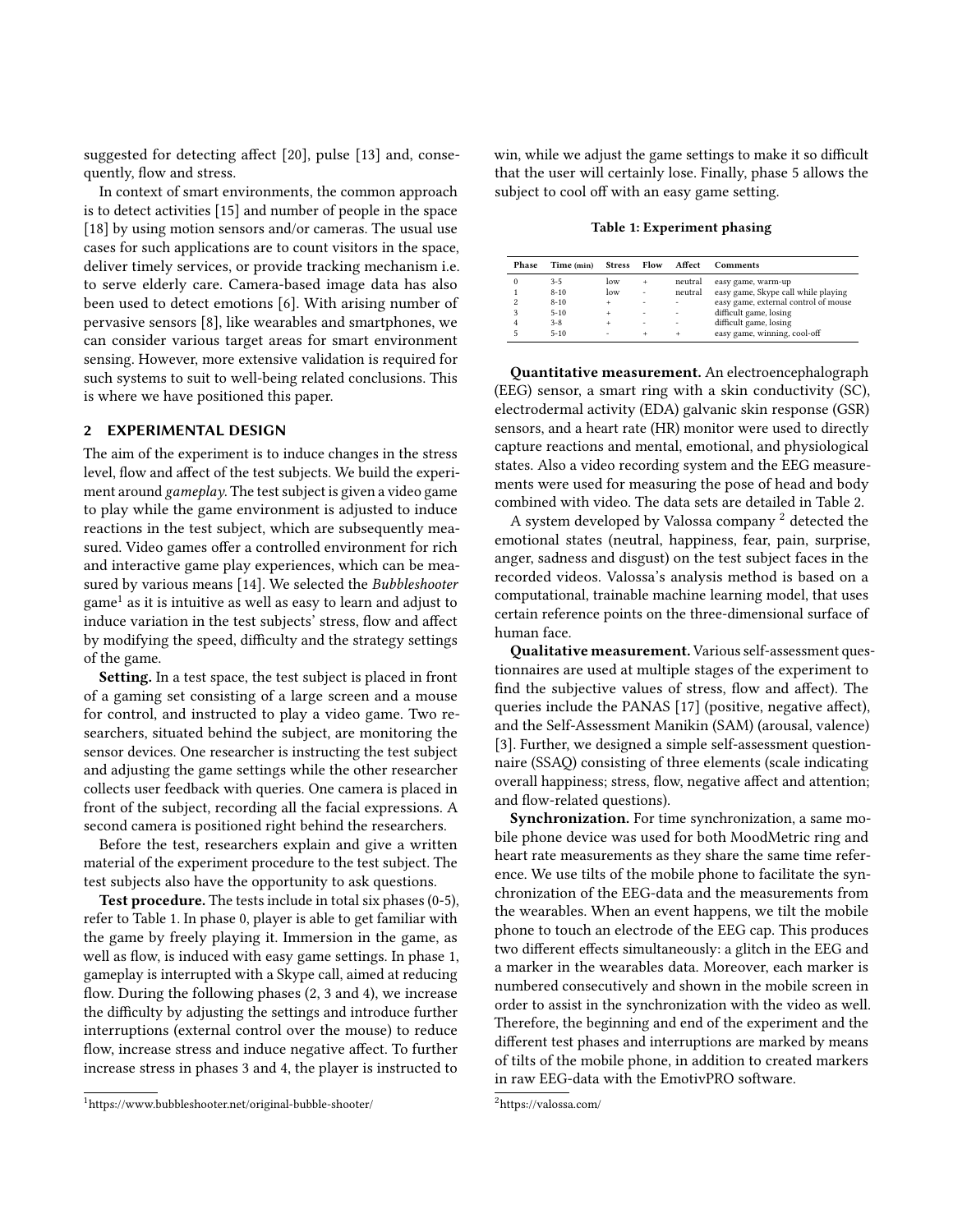suggested for detecting affect [\[20\]](#page-3-13), pulse [\[13\]](#page-3-14) and, consequently, flow and stress.

In context of smart environments, the common approach is to detect activities [\[15\]](#page-3-15) and number of people in the space [\[18\]](#page-3-16) by using motion sensors and/or cameras. The usual use cases for such applications are to count visitors in the space, deliver timely services, or provide tracking mechanism i.e. to serve elderly care. Camera-based image data has also been used to detect emotions [\[6\]](#page-3-17). With arising number of pervasive sensors [\[8\]](#page-3-18), like wearables and smartphones, we can consider various target areas for smart environment sensing. However, more extensive validation is required for such systems to suit to well-being related conclusions. This is where we have positioned this paper.

#### 2 EXPERIMENTAL DESIGN

The aim of the experiment is to induce changes in the stress level, flow and affect of the test subjects. We build the experiment around gameplay. The test subject is given a video game to play while the game environment is adjusted to induce reactions in the test subject, which are subsequently measured. Video games offer a controlled environment for rich and interactive game play experiences, which can be measured by various means [\[14\]](#page-3-19). We selected the Bubbleshooter  $\mathrm{game}^1$  $\mathrm{game}^1$  as it is intuitive as well as easy to learn and adjust to induce variation in the test subjects' stress, flow and affect by modifying the speed, difficulty and the strategy settings of the game.

Setting. In a test space, the test subject is placed in front of a gaming set consisting of a large screen and a mouse for control, and instructed to play a video game. Two researchers, situated behind the subject, are monitoring the sensor devices. One researcher is instructing the test subject and adjusting the game settings while the other researcher collects user feedback with queries. One camera is placed in front of the subject, recording all the facial expressions. A second camera is positioned right behind the researchers.

Before the test, researchers explain and give a written material of the experiment procedure to the test subject. The test subjects also have the opportunity to ask questions.

Test procedure. The tests include in total six phases (0-5), refer to Table [1.](#page-1-1) In phase 0, player is able to get familiar with the game by freely playing it. Immersion in the game, as well as flow, is induced with easy game settings. In phase 1, gameplay is interrupted with a Skype call, aimed at reducing flow. During the following phases (2, 3 and 4), we increase the difficulty by adjusting the settings and introduce further interruptions (external control over the mouse) to reduce flow, increase stress and induce negative affect. To further increase stress in phases 3 and 4, the player is instructed to

win, while we adjust the game settings to make it so difficult that the user will certainly lose. Finally, phase 5 allows the subject to cool off with an easy game setting.

Table 1: Experiment phasing

<span id="page-1-1"></span>

| Phase                   | Time (min) | <b>Stress</b> | Flow | Affect  | Comments                             |
|-------------------------|------------|---------------|------|---------|--------------------------------------|
| $^{o}$                  | $3 - 5$    | low           | ÷    | neutral | easy game, warm-up                   |
|                         | $8 - 10$   | low           | ٠    | neutral | easy game, Skype call while playing  |
| $\overline{\mathbf{c}}$ | $8 - 10$   |               | ۰    | ٠       | easy game, external control of mouse |
| 3                       | $5 - 10$   |               | ۰    | ٠       | difficult game, losing               |
|                         | $3 - 8$    |               | ٠    | ۰       | difficult game, losing               |
|                         | $5 - 10$   | ۰             | ÷    | ÷       | easy game, winning, cool-off         |

Quantitative measurement. An electroencephalograph (EEG) sensor, a smart ring with a skin conductivity (SC), electrodermal activity (EDA) galvanic skin response (GSR) sensors, and a heart rate (HR) monitor were used to directly capture reactions and mental, emotional, and physiological states. Also a video recording system and the EEG measurements were used for measuring the pose of head and body combined with video. The data sets are detailed in Table [2.](#page-2-0)

A system developed by Valossa company<sup>[2](#page-1-2)</sup> detected the emotional states (neutral, happiness, fear, pain, surprise, anger, sadness and disgust) on the test subject faces in the recorded videos. Valossa's analysis method is based on a computational, trainable machine learning model, that uses certain reference points on the three-dimensional surface of human face.

Qualitative measurement. Various self-assessment questionnaires are used at multiple stages of the experiment to find the subjective values of stress, flow and affect). The queries include the PANAS [\[17\]](#page-3-20) (positive, negative affect), and the Self-Assessment Manikin (SAM) (arousal, valence) [\[3\]](#page-3-21). Further, we designed a simple self-assessment questionnaire (SSAQ) consisting of three elements (scale indicating overall happiness; stress, flow, negative affect and attention; and flow-related questions).

Synchronization. For time synchronization, a same mobile phone device was used for both MoodMetric ring and heart rate measurements as they share the same time reference. We use tilts of the mobile phone to facilitate the synchronization of the EEG-data and the measurements from the wearables. When an event happens, we tilt the mobile phone to touch an electrode of the EEG cap. This produces two different effects simultaneously: a glitch in the EEG and a marker in the wearables data. Moreover, each marker is numbered consecutively and shown in the mobile screen in order to assist in the synchronization with the video as well. Therefore, the beginning and end of the experiment and the different test phases and interruptions are marked by means of tilts of the mobile phone, in addition to created markers in raw EEG-data with the EmotivPRO software.

<span id="page-1-0"></span><sup>1</sup>https://www.bubbleshooter.net/original-bubble-shooter/

<span id="page-1-2"></span><sup>2</sup>https://valossa.com/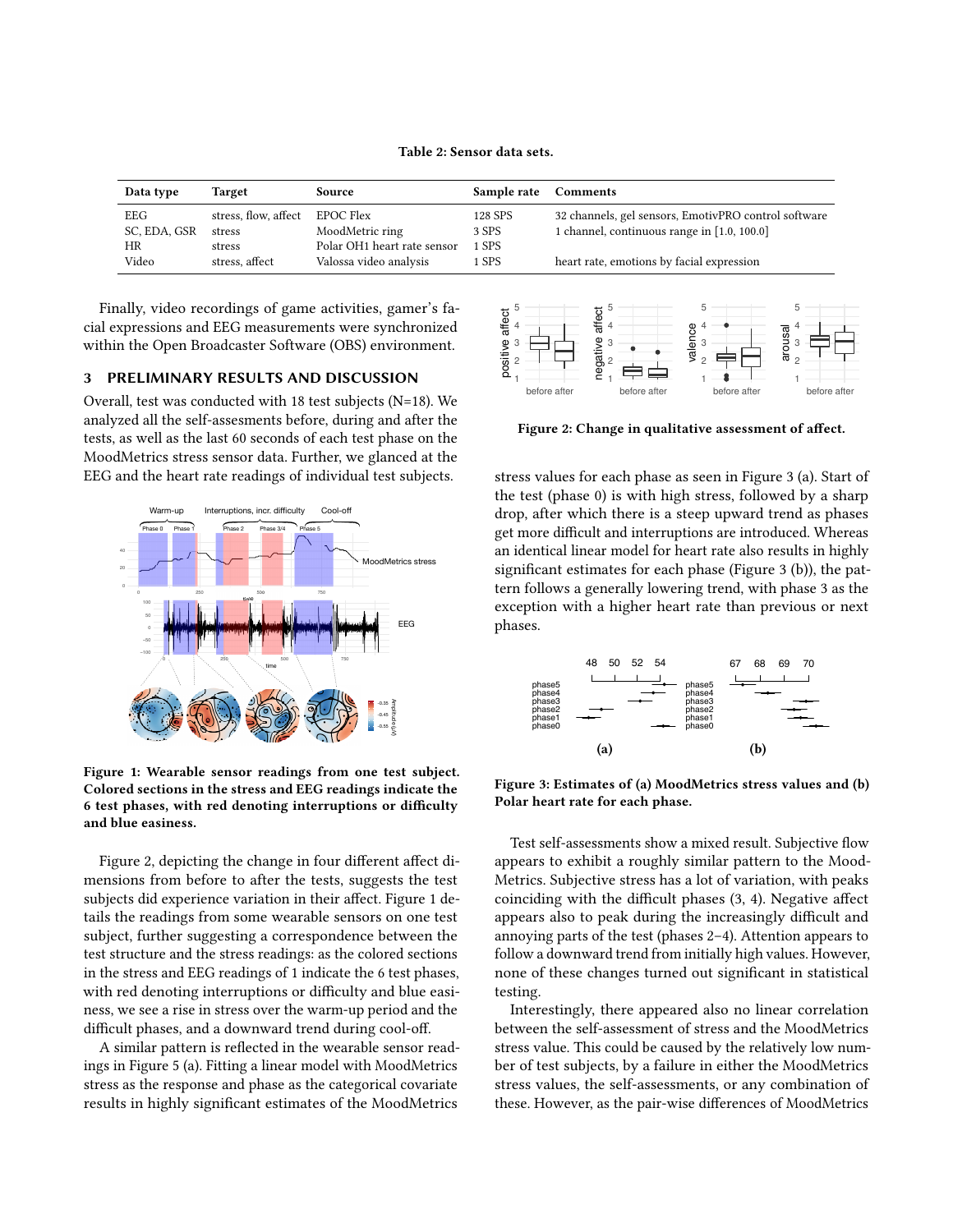Table 2: Sensor data sets.

<span id="page-2-0"></span>

| Data type    | Target               | Source                      | Sample rate | Comments                                             |
|--------------|----------------------|-----------------------------|-------------|------------------------------------------------------|
| EEG          | stress, flow, affect | EPOC Flex                   | 128 SPS     | 32 channels, gel sensors, EmotivPRO control software |
| SC, EDA, GSR | stress               | MoodMetric ring             | 3 SPS       | 1 channel, continuous range in [1.0, 100.0]          |
| <b>HR</b>    | stress               | Polar OH1 heart rate sensor | 1 SPS       |                                                      |
| Video        | stress, affect       | Valossa video analysis      | 1 SPS       | heart rate, emotions by facial expression            |

Finally, video recordings of game activities, gamer's facial expressions and EEG measurements were synchronized within the Open Broadcaster Software (OBS) environment.

#### 3 PRELIMINARY RESULTS AND DISCUSSION

Overall, test was conducted with 18 test subjects (N=18). We analyzed all the self-assesments before, during and after the tests, as well as the last 60 seconds of each test phase on the MoodMetrics stress sensor data. Further, we glanced at the EEG and the heart rate readings of individual test subjects.

<span id="page-2-2"></span>

Figure 1: Wearable sensor readings from one test subject. Colored sections in the stress and EEG readings indicate the 6 test phases, with red denoting interruptions or difficulty and blue easiness.

Figure [2,](#page-2-1) depicting the change in four different affect dimensions from before to after the tests, suggests the test subjects did experience variation in their affect. Figure [1](#page-2-2) details the readings from some wearable sensors on one test subject, further suggesting a correspondence between the test structure and the stress readings: as the colored sections in the stress and EEG readings of [1](#page-2-2) indicate the 6 test phases, with red denoting interruptions or difficulty and blue easiness, we see a rise in stress over the warm-up period and the difficult phases, and a downward trend during cool-off.

A similar pattern is reflected in the wearable sensor readings in Figure [5](#page-3-22) (a). Fitting a linear model with MoodMetrics stress as the response and phase as the categorical covariate results in highly significant estimates of the MoodMetrics

<span id="page-2-1"></span>

Figure 2: Change in qualitative assessment of affect.

stress values for each phase as seen in Figure [3](#page-2-3) (a). Start of the test (phase 0) is with high stress, followed by a sharp drop, after which there is a steep upward trend as phases get more difficult and interruptions are introduced. Whereas an identical linear model for heart rate also results in highly significant estimates for each phase (Figure [3](#page-2-3) (b)), the pattern follows a generally lowering trend, with phase 3 as the exception with a higher heart rate than previous or next phases.

<span id="page-2-3"></span>

Figure 3: Estimates of (a) MoodMetrics stress values and (b) Polar heart rate for each phase.

Test self-assessments show a mixed result. Subjective flow appears to exhibit a roughly similar pattern to the Mood-Metrics. Subjective stress has a lot of variation, with peaks coinciding with the difficult phases (3, 4). Negative affect appears also to peak during the increasingly difficult and annoying parts of the test (phases 2–4). Attention appears to follow a downward trend from initially high values. However, none of these changes turned out significant in statistical testing.

Interestingly, there appeared also no linear correlation between the self-assessment of stress and the MoodMetrics stress value. This could be caused by the relatively low number of test subjects, by a failure in either the MoodMetrics stress values, the self-assessments, or any combination of these. However, as the pair-wise differences of MoodMetrics